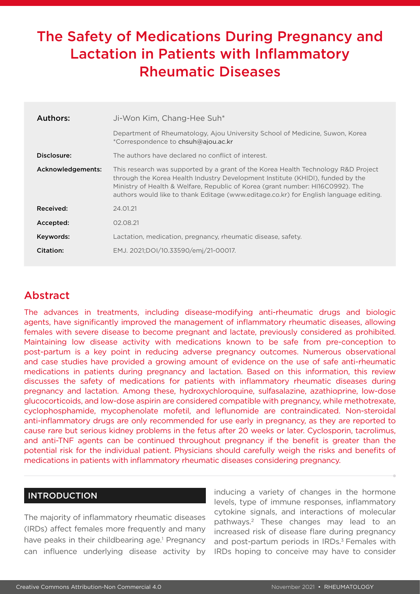# The Safety of Medications During Pregnancy and Lactation in Patients with Inflammatory Rheumatic Diseases

| Authors:          | Ji-Won Kim, Chang-Hee Suh*                                                                                                                                                                                                                                                                                                                     |  |  |
|-------------------|------------------------------------------------------------------------------------------------------------------------------------------------------------------------------------------------------------------------------------------------------------------------------------------------------------------------------------------------|--|--|
|                   | Department of Rheumatology, Ajou University School of Medicine, Suwon, Korea<br>*Correspondence to chsuh@ajou.ac.kr                                                                                                                                                                                                                            |  |  |
| Disclosure:       | The authors have declared no conflict of interest.                                                                                                                                                                                                                                                                                             |  |  |
| Acknowledgements: | This research was supported by a grant of the Korea Health Technology R&D Project<br>through the Korea Health Industry Development Institute (KHIDI), funded by the<br>Ministry of Health & Welfare, Republic of Korea (grant number: HI16C0992). The<br>authors would like to thank Editage (www.editage.co.kr) for English language editing. |  |  |
| Received:         | 24.01.21                                                                                                                                                                                                                                                                                                                                       |  |  |
| Accepted:         | 02.08.21                                                                                                                                                                                                                                                                                                                                       |  |  |
| Keywords:         | Lactation, medication, pregnancy, rheumatic disease, safety.                                                                                                                                                                                                                                                                                   |  |  |
| Citation:         | EMJ. 2021;DOI/10.33590/emj/21-00017.                                                                                                                                                                                                                                                                                                           |  |  |

# Abstract

The advances in treatments, including disease-modifying anti-rheumatic drugs and biologic agents, have significantly improved the management of inflammatory rheumatic diseases, allowing females with severe disease to become pregnant and lactate, previously considered as prohibited. Maintaining low disease activity with medications known to be safe from pre-conception to post-partum is a key point in reducing adverse pregnancy outcomes. Numerous observational and case studies have provided a growing amount of evidence on the use of safe anti-rheumatic medications in patients during pregnancy and lactation. Based on this information, this review discusses the safety of medications for patients with inflammatory rheumatic diseases during pregnancy and lactation. Among these, hydroxychloroquine, sulfasalazine, azathioprine, low-dose glucocorticoids, and low-dose aspirin are considered compatible with pregnancy, while methotrexate, cyclophosphamide, mycophenolate mofetil, and leflunomide are contraindicated. Non-steroidal anti-inflammatory drugs are only recommended for use early in pregnancy, as they are reported to cause rare but serious kidney problems in the fetus after 20 weeks or later. Cyclosporin, tacrolimus, and anti-TNF agents can be continued throughout pregnancy if the benefit is greater than the potential risk for the individual patient. Physicians should carefully weigh the risks and benefits of medications in patients with inflammatory rheumatic diseases considering pregnancy.

#### INTRODUCTION

The majority of inflammatory rheumatic diseases (IRDs) affect females more frequently and many have peaks in their childbearing age.<sup>1</sup> Pregnancy can influence underlying disease activity by inducing a variety of changes in the hormone levels, type of immune responses, inflammatory cytokine signals, and interactions of molecular pathways.2 These changes may lead to an increased risk of disease flare during pregnancy and post-partum periods in IRDs.<sup>3</sup> Females with IRDs hoping to conceive may have to consider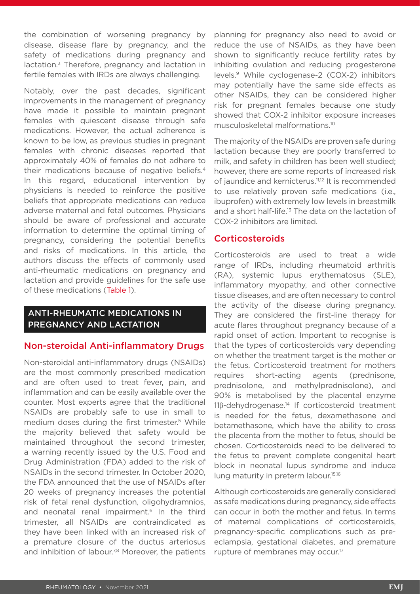the combination of worsening pregnancy by disease, disease flare by pregnancy, and the safety of medications during pregnancy and lactation.<sup>3</sup> Therefore, pregnancy and lactation in fertile females with IRDs are always challenging.

Notably, over the past decades, significant improvements in the management of pregnancy have made it possible to maintain pregnant females with quiescent disease through safe medications. However, the actual adherence is known to be low, as previous studies in pregnant females with chronic diseases reported that approximately 40% of females do not adhere to their medications because of negative beliefs.4 In this regard, educational intervention by physicians is needed to reinforce the positive beliefs that appropriate medications can reduce adverse maternal and fetal outcomes. Physicians should be aware of professional and accurate information to determine the optimal timing of pregnancy, considering the potential benefits and risks of medications. In this article, the authors discuss the effects of commonly used anti-rheumatic medications on pregnancy and lactation and provide guidelines for the safe use of these medications (Table 1).

### ANTI-RHEUMATIC MEDICATIONS IN PREGNANCY AND LACTATION

#### Non-steroidal Anti-inflammatory Drugs

Non-steroidal anti-inflammatory drugs (NSAIDs) are the most commonly prescribed medication and are often used to treat fever, pain, and inflammation and can be easily available over the counter. Most experts agree that the traditional NSAIDs are probably safe to use in small to medium doses during the first trimester.<sup>5</sup> While the majority believed that safety would be maintained throughout the second trimester, a warning recently issued by the U.S. Food and Drug Administration (FDA) added to the risk of NSAIDs in the second trimester. In October 2020, the FDA announced that the use of NSAIDs after 20 weeks of pregnancy increases the potential risk of fetal renal dysfunction, oligohydramnios, and neonatal renal impairment.<sup>6</sup> In the third trimester, all NSAIDs are contraindicated as they have been linked with an increased risk of a premature closure of the ductus arteriosus and inhibition of labour.<sup>7,8</sup> Moreover, the patients

planning for pregnancy also need to avoid or reduce the use of NSAIDs, as they have been shown to significantly reduce fertility rates by inhibiting ovulation and reducing progesterone levels.9 While cyclogenase-2 (COX-2) inhibitors may potentially have the same side effects as other NSAIDs, they can be considered higher risk for pregnant females because one study showed that COX-2 inhibitor exposure increases musculoskeletal malformations.10

The majority of the NSAIDs are proven safe during lactation because they are poorly transferred to milk, and safety in children has been well studied; however, there are some reports of increased risk of jaundice and kernicterus.<sup>11,12</sup> It is recommended to use relatively proven safe medications (i.e., ibuprofen) with extremely low levels in breastmilk and a short half-life.13 The data on the lactation of COX-2 inhibitors are limited.

#### **Corticosteroids**

Corticosteroids are used to treat a wide range of IRDs, including rheumatoid arthritis (RA), systemic lupus erythematosus (SLE), inflammatory myopathy, and other connective tissue diseases, and are often necessary to control the activity of the disease during pregnancy. They are considered the first-line therapy for acute flares throughout pregnancy because of a rapid onset of action. Important to recognise is that the types of corticosteroids vary depending on whether the treatment target is the mother or the fetus. Corticosteroid treatment for mothers requires short-acting agents (prednisone, prednisolone, and methylprednisolone), and 90% is metabolised by the placental enzyme 11β-dehydrogenase.<sup>14</sup> If corticosteroid treatment is needed for the fetus, dexamethasone and betamethasone, which have the ability to cross the placenta from the mother to fetus, should be chosen. Corticosteroids need to be delivered to the fetus to prevent complete congenital heart block in neonatal lupus syndrome and induce lung maturity in preterm labour.<sup>15,16</sup>

Although corticosteroids are generally considered as safe medications during pregnancy, side effects can occur in both the mother and fetus. In terms of maternal complications of corticosteroids, pregnancy-specific complications such as preeclampsia, gestational diabetes, and premature rupture of membranes may occur.<sup>17</sup>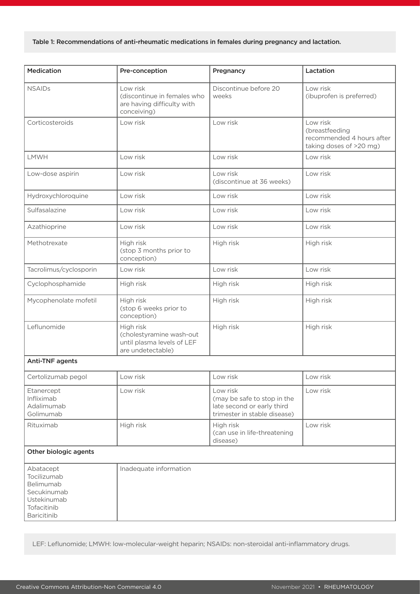#### Table 1: Recommendations of anti-rheumatic medications in females during pregnancy and lactation.

| <b>Medication</b>                                                                                 | Pre-conception                                                                           | Pregnancy                                                                                             | Lactation                                                                          |
|---------------------------------------------------------------------------------------------------|------------------------------------------------------------------------------------------|-------------------------------------------------------------------------------------------------------|------------------------------------------------------------------------------------|
| <b>NSAIDs</b>                                                                                     | Low risk<br>(discontinue in females who<br>are having difficulty with<br>conceiving)     | Discontinue before 20<br>weeks                                                                        | Low risk<br>(ibuprofen is preferred)                                               |
| Corticosteroids                                                                                   | Low risk                                                                                 | Low risk                                                                                              | Low risk<br>(breastfeeding<br>recommended 4 hours after<br>taking doses of >20 mg) |
| LMWH                                                                                              | Low risk                                                                                 | Low risk                                                                                              | Low risk                                                                           |
| Low-dose aspirin                                                                                  | Low risk                                                                                 | Low risk<br>(discontinue at 36 weeks)                                                                 | Low risk                                                                           |
| Hydroxychloroquine                                                                                | Low risk                                                                                 | Low risk                                                                                              | Low risk                                                                           |
| Sulfasalazine                                                                                     | Low risk                                                                                 | Low risk                                                                                              | Low risk                                                                           |
| Azathioprine                                                                                      | Low risk                                                                                 | Low risk                                                                                              | Low risk                                                                           |
| Methotrexate                                                                                      | High risk<br>(stop 3 months prior to<br>conception)                                      | High risk                                                                                             | High risk                                                                          |
| Tacrolimus/cyclosporin                                                                            | Low risk                                                                                 | Low risk                                                                                              | Low risk                                                                           |
| Cyclophosphamide                                                                                  | High risk                                                                                | High risk                                                                                             | High risk                                                                          |
| Mycophenolate mofetil                                                                             | High risk<br>(stop 6 weeks prior to<br>conception)                                       | High risk                                                                                             | High risk                                                                          |
| Leflunomide                                                                                       | High risk<br>(cholestyramine wash-out<br>until plasma levels of LEF<br>are undetectable) | High risk                                                                                             | High risk                                                                          |
| Anti-TNF agents                                                                                   |                                                                                          |                                                                                                       |                                                                                    |
| Certolizumab pegol                                                                                | Low risk                                                                                 | Low risk                                                                                              | Low risk                                                                           |
| Etanercept<br>Infliximab<br>Adalimumab<br>Golimumab                                               | Low risk                                                                                 | Low risk<br>(may be safe to stop in the<br>late second or early third<br>trimester in stable disease) | Low risk                                                                           |
| Rituximab                                                                                         | High risk                                                                                | High risk<br>(can use in life-threatening<br>disease)                                                 | Low risk                                                                           |
| Other biologic agents                                                                             |                                                                                          |                                                                                                       |                                                                                    |
| Abatacept<br>Tocilizumab<br>Belimumab<br>Secukinumab<br>Ustekinumab<br>Tofacitinib<br>Baricitinib | Inadequate information                                                                   |                                                                                                       |                                                                                    |

LEF: Leflunomide; LMWH: low-molecular-weight heparin; NSAIDs: non-steroidal anti-inflammatory drugs.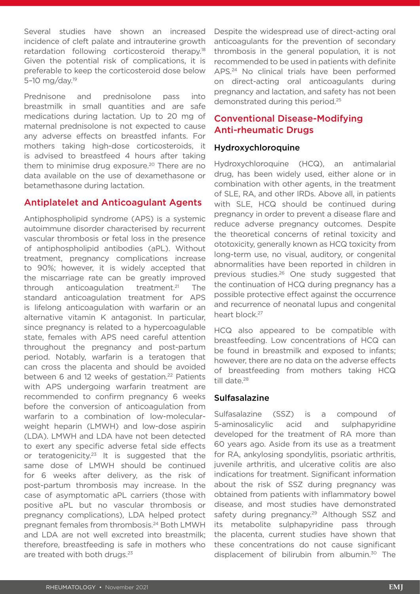Several studies have shown an increased incidence of cleft palate and intrauterine growth retardation following corticosteroid therapy.18 Given the potential risk of complications, it is preferable to keep the corticosteroid dose below 5–10 mg/day.19

Prednisone and prednisolone pass into breastmilk in small quantities and are safe medications during lactation. Up to 20 mg of maternal prednisolone is not expected to cause any adverse effects on breastfed infants. For mothers taking high-dose corticosteroids, it is advised to breastfeed 4 hours after taking them to minimise drug exposure.<sup>20</sup> There are no data available on the use of dexamethasone or betamethasone during lactation.

#### Antiplatelet and Anticoagulant Agents

Antiphospholipid syndrome (APS) is a systemic autoimmune disorder characterised by recurrent vascular thrombosis or fetal loss in the presence of antiphospholipid antibodies (aPL). Without treatment, pregnancy complications increase to 90%; however, it is widely accepted that the miscarriage rate can be greatly improved through anticoagulation treatment.21 The standard anticoagulation treatment for APS is lifelong anticoagulation with warfarin or an alternative vitamin K antagonist. In particular, since pregnancy is related to a hypercoagulable state, females with APS need careful attention throughout the pregnancy and post-partum period. Notably, warfarin is a teratogen that can cross the placenta and should be avoided between 6 and 12 weeks of gestation.<sup>22</sup> Patients with APS undergoing warfarin treatment are recommended to confirm pregnancy 6 weeks before the conversion of anticoagulation from warfarin to a combination of low-molecularweight heparin (LMWH) and low-dose aspirin (LDA). LMWH and LDA have not been detected to exert any specific adverse fetal side effects or teratogenicity.<sup>23</sup> It is suggested that the same dose of LMWH should be continued for 6 weeks after delivery, as the risk of post-partum thrombosis may increase. In the case of asymptomatic aPL carriers (those with positive aPL but no vascular thrombosis or pregnancy complications), LDA helped protect pregnant females from thrombosis.24 Both LMWH and LDA are not well excreted into breastmilk; therefore, breastfeeding is safe in mothers who are treated with both drugs.<sup>23</sup>

Despite the widespread use of direct-acting oral anticoagulants for the prevention of secondary thrombosis in the general population, it is not recommended to be used in patients with definite APS.24 No clinical trials have been performed on direct-acting oral anticoagulants during pregnancy and lactation, and safety has not been demonstrated during this period.25

# Conventional Disease-Modifying Anti-rheumatic Drugs

#### Hydroxychloroquine

Hydroxychloroquine (HCQ), an antimalarial drug, has been widely used, either alone or in combination with other agents, in the treatment of SLE, RA, and other IRDs. Above all, in patients with SLE, HCQ should be continued during pregnancy in order to prevent a disease flare and reduce adverse pregnancy outcomes. Despite the theoretical concerns of retinal toxicity and ototoxicity, generally known as HCQ toxicity from long-term use, no visual, auditory, or congenital abnormalities have been reported in children in previous studies.26 One study suggested that the continuation of HCQ during pregnancy has a possible protective effect against the occurrence and recurrence of neonatal lupus and congenital heart block.<sup>27</sup>

HCQ also appeared to be compatible with breastfeeding. Low concentrations of HCQ can be found in breastmilk and exposed to infants; however, there are no data on the adverse effects of breastfeeding from mothers taking HCQ till date.<sup>28</sup>

#### **Sulfasalazine**

Sulfasalazine (SSZ) is a compound of 5-aminosalicylic acid and sulphapyridine developed for the treatment of RA more than 60 years ago. Aside from its use as a treatment for RA, ankylosing spondylitis, psoriatic arthritis, juvenile arthritis, and ulcerative colitis are also indications for treatment. Significant information about the risk of SSZ during pregnancy was obtained from patients with inflammatory bowel disease, and most studies have demonstrated safety during pregnancy.<sup>29</sup> Although SSZ and its metabolite sulphapyridine pass through the placenta, current studies have shown that these concentrations do not cause significant displacement of bilirubin from albumin.<sup>30</sup> The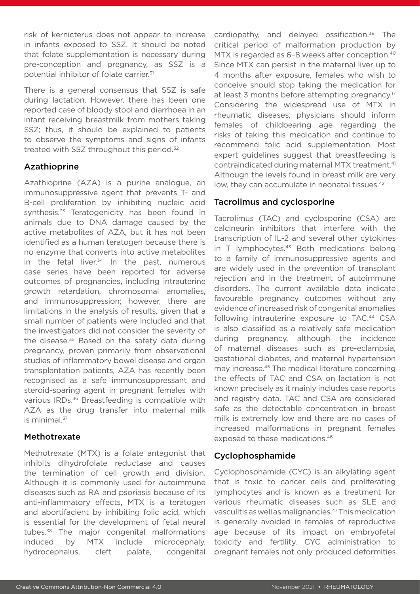risk of kernicterus does not appear to increase in infants exposed to SSZ. It should be noted that folate supplementation is necessary during pre-conception and pregnancy, as SSZ is a potential inhibitor of folate carrier.31

There is a general consensus that SSZ is safe during lactation. However, there has been one reported case of bloody stool and diarrhoea in an infant receiving breastmilk from mothers taking SSZ; thus, it should be explained to patients to observe the symptoms and signs of infants treated with SSZ throughout this period.<sup>32</sup>

#### Azathioprine

Azathioprine (AZA) is a purine analogue, an immunosuppressive agent that prevents T- and B-cell proliferation by inhibiting nucleic acid synthesis.<sup>33</sup> Teratogenicity has been found in animals due to DNA damage caused by the active metabolites of AZA, but it has not been identified as a human teratogen because there is no enzyme that converts into active metabolites in the fetal liver. $34$  In the past, numerous case series have been reported for adverse outcomes of pregnancies, including intrauterine growth retardation, chromosomal anomalies, and immunosuppression; however, there are limitations in the analysis of results, given that a small number of patients were included and that the investigators did not consider the severity of the disease.<sup>35</sup> Based on the safety data during pregnancy, proven primarily from observational studies of inflammatory bowel disease and organ transplantation patients, AZA has recently been recognised as a safe immunosuppressant and steroid-sparing agent in pregnant females with various IRDs.<sup>36</sup> Breastfeeding is compatible with AZA as the drug transfer into maternal milk is minimal.<sup>37</sup>

#### Methotrexate

Methotrexate (MTX) is a folate antagonist that inhibits dihydrofolate reductase and causes the termination of cell growth and division. Although it is commonly used for autoimmune diseases such as RA and psoriasis because of its anti-inflammatory effects, MTX is a teratogen and abortifacient by inhibiting folic acid, which is essential for the development of fetal neural tubes.<sup>38</sup> The major congenital malformations induced by MTX include microcephaly, hydrocephalus, cleft palate, congenital

cardiopathy, and delayed ossification.<sup>39</sup> The critical period of malformation production by MTX is regarded as 6-8 weeks after conception.<sup>40</sup> Since MTX can persist in the maternal liver up to 4 months after exposure, females who wish to conceive should stop taking the medication for at least 3 months before attempting pregnancy.<sup>17</sup> Considering the widespread use of MTX in rheumatic diseases, physicians should inform females of childbearing age regarding the risks of taking this medication and continue to recommend folic acid supplementation. Most expert guidelines suggest that breastfeeding is contraindicated during maternal MTX treatment.<sup>41</sup> Although the levels found in breast milk are very low, they can accumulate in neonatal tissues.<sup>42</sup>

#### Tacrolimus and cyclosporine

Tacrolimus (TAC) and cyclosporine (CSA) are calcineurin inhibitors that interfere with the transcription of IL-2 and several other cytokines in T lymphocytes.<sup>43</sup> Both medications belong to a family of immunosuppressive agents and are widely used in the prevention of transplant rejection and in the treatment of autoimmune disorders. The current available data indicate favourable pregnancy outcomes without any evidence of increased risk of congenital anomalies following intrauterine exposure to TAC.<sup>44</sup> CSA is also classified as a relatively safe medication during pregnancy, although the incidence of maternal diseases such as pre-eclampsia, gestational diabetes, and maternal hypertension may increase.45 The medical literature concerning the effects of TAC and CSA on lactation is not known precisely as it mainly includes case reports and registry data. TAC and CSA are considered safe as the detectable concentration in breast milk is extremely low and there are no cases of increased malformations in pregnant females exposed to these medications.<sup>46</sup>

#### Cyclophosphamide

Cyclophosphamide (CYC) is an alkylating agent that is toxic to cancer cells and proliferating lymphocytes and is known as a treatment for various rheumatic diseases such as SLE and vasculitis as well as malignancies.47 This medication is generally avoided in females of reproductive age because of its impact on embryofetal toxicity and fertility. CYC administration to pregnant females not only produced deformities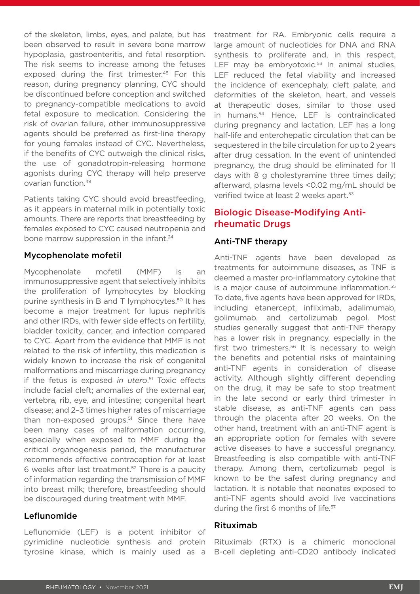of the skeleton, limbs, eyes, and palate, but has been observed to result in severe bone marrow hypoplasia, gastroenteritis, and fetal resorption. The risk seems to increase among the fetuses exposed during the first trimester.<sup>48</sup> For this reason, during pregnancy planning, CYC should be discontinued before conception and switched to pregnancy-compatible medications to avoid fetal exposure to medication. Considering the risk of ovarian failure, other immunosuppressive agents should be preferred as first-line therapy for young females instead of CYC. Nevertheless, if the benefits of CYC outweigh the clinical risks, the use of gonadotropin-releasing hormone agonists during CYC therapy will help preserve ovarian function.49

Patients taking CYC should avoid breastfeeding, as it appears in maternal milk in potentially toxic amounts. There are reports that breastfeeding by females exposed to CYC caused neutropenia and bone marrow suppression in the infant.<sup>24</sup>

#### Mycophenolate mofetil

Mycophenolate mofetil (MMF) is an immunosuppressive agent that selectively inhibits the proliferation of lymphocytes by blocking purine synthesis in B and T lymphocytes.50 It has become a major treatment for lupus nephritis and other IRDs, with fewer side effects on fertility, bladder toxicity, cancer, and infection compared to CYC. Apart from the evidence that MMF is not related to the risk of infertility, this medication is widely known to increase the risk of congenital malformations and miscarriage during pregnancy if the fetus is exposed *in utero*. 51 Toxic effects include facial cleft; anomalies of the external ear, vertebra, rib, eye, and intestine; congenital heart disease; and 2–3 times higher rates of miscarriage than non-exposed groups.<sup>51</sup> Since there have been many cases of malformation occurring, especially when exposed to MMF during the critical organogenesis period, the manufacturer recommends effective contraception for at least 6 weeks after last treatment.52 There is a paucity of information regarding the transmission of MMF into breast milk; therefore, breastfeeding should be discouraged during treatment with MMF.

#### Leflunomide

Leflunomide (LEF) is a potent inhibitor of pyrimidine nucleotide synthesis and protein tyrosine kinase, which is mainly used as a

treatment for RA. Embryonic cells require a large amount of nucleotides for DNA and RNA synthesis to proliferate and, in this respect, LEF may be embryotoxic. $53$  In animal studies, LEF reduced the fetal viability and increased the incidence of exencephaly, cleft palate, and deformities of the skeleton, heart, and vessels at therapeutic doses, similar to those used in humans.54 Hence, LEF is contraindicated during pregnancy and lactation. LEF has a long half-life and enterohepatic circulation that can be sequestered in the bile circulation for up to 2 years after drug cessation. In the event of unintended pregnancy, the drug should be eliminated for 11 days with 8 g cholestyramine three times daily; afterward, plasma levels <0.02 mg/mL should be verified twice at least 2 weeks apart.<sup>53</sup>

# Biologic Disease-Modifying Antirheumatic Drugs

#### Anti-TNF therapy

Anti-TNF agents have been developed as treatments for autoimmune diseases, as TNF is deemed a master pro-inflammatory cytokine that is a major cause of autoimmune inflammation.<sup>55</sup> To date, five agents have been approved for IRDs, including etanercept, infliximab, adalimumab, golimumab, and certolizumab pegol. Most studies generally suggest that anti-TNF therapy has a lower risk in pregnancy, especially in the first two trimesters. $56$  It is necessary to weigh the benefits and potential risks of maintaining anti-TNF agents in consideration of disease activity. Although slightly different depending on the drug, it may be safe to stop treatment in the late second or early third trimester in stable disease, as anti-TNF agents can pass through the placenta after 20 weeks. On the other hand, treatment with an anti-TNF agent is an appropriate option for females with severe active diseases to have a successful pregnancy. Breastfeeding is also compatible with anti-TNF therapy. Among them, certolizumab pegol is known to be the safest during pregnancy and lactation. It is notable that neonates exposed to anti-TNF agents should avoid live vaccinations during the first 6 months of life.<sup>57</sup>

#### Rituximab

Rituximab (RTX) is a chimeric monoclonal B-cell depleting anti-CD20 antibody indicated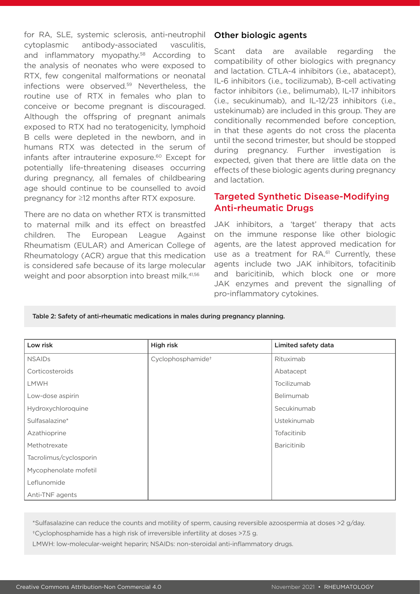for RA, SLE, systemic sclerosis, anti-neutrophil cytoplasmic antibody-associated vasculitis, and inflammatory myopathy.<sup>58</sup> According to the analysis of neonates who were exposed to RTX, few congenital malformations or neonatal infections were observed.59 Nevertheless, the routine use of RTX in females who plan to conceive or become pregnant is discouraged. Although the offspring of pregnant animals exposed to RTX had no teratogenicity, lymphoid B cells were depleted in the newborn, and in humans RTX was detected in the serum of infants after intrauterine exposure.<sup>60</sup> Except for potentially life-threatening diseases occurring during pregnancy, all females of childbearing age should continue to be counselled to avoid pregnancy for ≥12 months after RTX exposure.

There are no data on whether RTX is transmitted to maternal milk and its effect on breastfed children. The European League Against Rheumatism (EULAR) and American College of Rheumatology (ACR) argue that this medication is considered safe because of its large molecular weight and poor absorption into breast milk.<sup>41,56</sup>

#### Other biologic agents

Scant data are available regarding the compatibility of other biologics with pregnancy and lactation. CTLA-4 inhibitors (i.e., abatacept), IL-6 inhibitors (i.e., tocilizumab), B-cell activating factor inhibitors (i.e., belimumab), IL-17 inhibitors (i.e., secukinumab), and IL-12/23 inhibitors (i.e., ustekinumab) are included in this group. They are conditionally recommended before conception, in that these agents do not cross the placenta until the second trimester, but should be stopped during pregnancy. Further investigation is expected, given that there are little data on the effects of these biologic agents during pregnancy and lactation.

#### Targeted Synthetic Disease-Modifying Anti-rheumatic Drugs

JAK inhibitors, a 'target' therapy that acts on the immune response like other biologic agents, are the latest approved medication for use as a treatment for RA.<sup>61</sup> Currently, these agents include two JAK inhibitors, tofacitinib and baricitinib, which block one or more JAK enzymes and prevent the signalling of pro-inflammatory cytokines.

Table 2: Safety of anti-rheumatic medications in males during pregnancy planning.

| Low risk               | High risk                     | Limited safety data |
|------------------------|-------------------------------|---------------------|
| <b>NSAIDs</b>          | Cyclophosphamide <sup>+</sup> | Rituximab           |
| Corticosteroids        |                               | Abatacept           |
| <b>LMWH</b>            |                               | Tocilizumab         |
| Low-dose aspirin       |                               | Belimumab           |
| Hydroxychloroquine     |                               | Secukinumab         |
| Sulfasalazine*         |                               | Ustekinumab         |
| Azathioprine           |                               | Tofacitinib         |
| Methotrexate           |                               | <b>Baricitinib</b>  |
| Tacrolimus/cyclosporin |                               |                     |
| Mycophenolate mofetil  |                               |                     |
| Leflunomide            |                               |                     |
| Anti-TNF agents        |                               |                     |

\*Sulfasalazine can reduce the counts and motility of sperm, causing reversible azoospermia at doses >2 g/day.

†Cyclophosphamide has a high risk of irreversible infertility at doses >7.5 g.

LMWH: low-molecular-weight heparin; NSAIDs: non-steroidal anti-inflammatory drugs.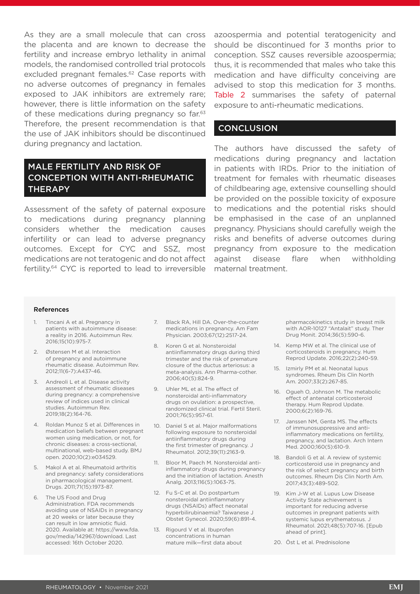As they are a small molecule that can cross the placenta and are known to decrease the fertility and increase embryo lethality in animal models, the randomised controlled trial protocols excluded pregnant females.<sup>62</sup> Case reports with no adverse outcomes of pregnancy in females exposed to JAK inhibitors are extremely rare; however, there is little information on the safety of these medications during pregnancy so far.<sup>63</sup> Therefore, the present recommendation is that the use of JAK inhibitors should be discontinued during pregnancy and lactation.

# MALE FERTILITY AND RISK OF CONCEPTION WITH ANTI-RHEUMATIC **THERAPY**

Assessment of the safety of paternal exposure to medications during pregnancy planning considers whether the medication causes infertility or can lead to adverse pregnancy outcomes. Except for CYC and SSZ, most medications are not teratogenic and do not affect fertility.64 CYC is reported to lead to irreversible

azoospermia and potential teratogenicity and should be discontinued for 3 months prior to conception. SSZ causes reversible azoospermia; thus, it is recommended that males who take this medication and have difficulty conceiving are advised to stop this medication for 3 months. Table 2 summarises the safety of paternal exposure to anti-rheumatic medications.

#### **CONCLUSION**

The authors have discussed the safety of medications during pregnancy and lactation in patients with IRDs. Prior to the initiation of treatment for females with rheumatic diseases of childbearing age, extensive counselling should be provided on the possible toxicity of exposure to medications and the potential risks should be emphasised in the case of an unplanned pregnancy. Physicians should carefully weigh the risks and benefits of adverse outcomes during pregnancy from exposure to the medication against disease flare when withholding maternal treatment.

#### References

- 1. Tincani A et al. Pregnancy in patients with autoimmune disease: a reality in 2016. Autoimmun Rev. 2016;15(10):975-7.
- 2. Østensen M et al. Interaction of pregnancy and autoimmune rheumatic disease. Autoimmun Rev. 2012;11(6-7):A437-46.
- 3. Andreoli L et al. Disease activity assessment of rheumatic diseases during pregnancy: a comprehensive review of indices used in clinical studies. Autoimmun Rev. 2019;18(2):164-76.
- 4. Roldan Munoz S et al. Differences in medication beliefs between pregnant women using medication, or not, for chronic diseases: a cross-sectional, multinational, web-based study. BMJ open. 2020;10(2):e034529.
- 5. Makol A et al. Rheumatoid arthritis and pregnancy: safety considerations in pharmacological management. Drugs. 2011;71(15):1973-87.
- 6. The US Food and Drug Administration. FDA recommends avoiding use of NSAIDs in pregnancy at 20 weeks or later because they can result in low amniotic fluid. 2020. Available at: https://www.fda. gov/media/142967/download. Last accessed: 16th October 2020.
- 7. Black RA, Hill DA. Over-the-counter medications in pregnancy. Am Fam Physician. 2003;67(12):2517-24.
- 8. Koren G et al. Nonsteroidal antiinflammatory drugs during third trimester and the risk of premature closure of the ductus arteriosus: a meta-analysis. Ann Pharma-cother. 2006;40(5):824-9.
- 9. Uhler ML et al. The effect of nonsteroidal anti-inflammatory drugs on ovulation: a prospective, randomized clinical trial. Fertil Steril. 2001;76(5):957-61.
- 10. Daniel S et al. Major malformations following exposure to nonsteroidal antiinflammatory drugs during the first trimester of pregnancy. J Rheumatol. 2012;39(11):2163-9.
- 11. Bloor M, Paech M. Nonsteroidal antiinflammatory drugs during pregnancy and the initiation of lactation. Anesth Analg. 2013;116(5):1063-75.
- 12. Fu S-C et al. Do postpartum nonsteroidal antiinflammatory drugs (NSAIDs) affect neonatal hyperbilirubinaemia? Taiwanese J Obstet Gynecol. 2020;59(6):891-4.
- 13. Rigourd V et al. Ibuprofen concentrations in human mature milk—first data about

pharmacokinetics study in breast milk with AOR-10127 "Antalait" study. Ther Drug Monit. 2014;36(5):590-6.

- 14. Kemp MW et al. The clinical use of corticosteroids in pregnancy. Hum Reprod Update. 2016;22(2):240-59.
- 15. Izmirly PM et al. Neonatal lupus syndromes. Rheum Dis Clin North Am. 2007;33(2):267-85.
- 16. Ogueh O, Johnson M. The metabolic effect of antenatal corticosteroid therapy. Hum Reprod Update. 2000;6(2):169-76.
- 17. Janssen NM, Genta MS. The effects of immunosuppressive and antiinflammatory medications on fertility, pregnancy, and lactation. Arch Intern Med. 2000;160(5):610-9.
- 18. Bandoli G et al. A review of systemic corticosteroid use in pregnancy and the risk of select pregnancy and birth outcomes. Rheum Dis Clin North Am. 2017;43(3):489-502.
- 19. Kim J-W et al. Lupus Low Disease Activity State achievement is important for reducing adverse outcomes in pregnant patients with systemic lupus erythematosus. J Rheumatol. 2021;48(5):707-16. [Epub ahead of print].
- 20. Öst L et al. Prednisolone